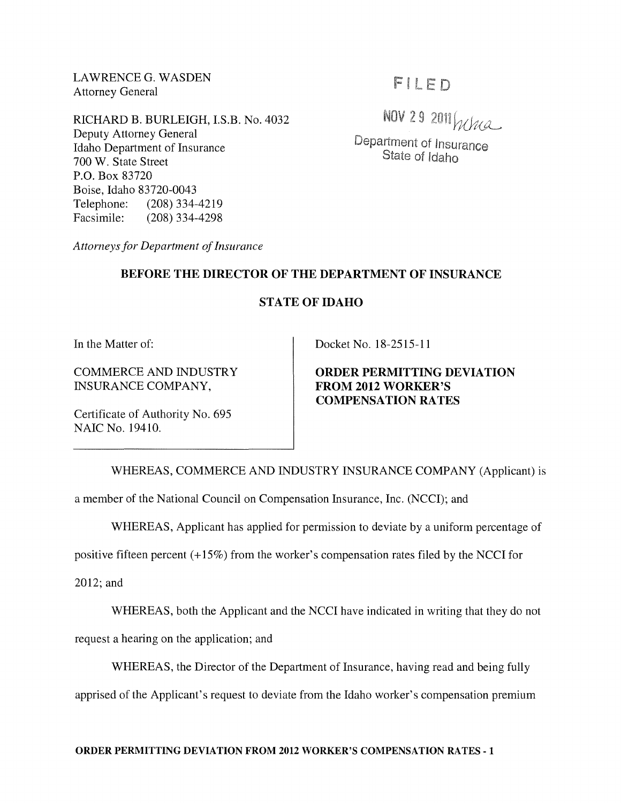LAWRENCE G. WASDEN Attorney General

RICHARD B. BURLEIGH, I.S.B. No. 4032 Deputy Attorney General Idaho Department of Insurance 700 W. State Street P.O. Box 83720 Boise, Idaho 83720-0043 Telephone: (208) 334-4219 Facsimile: (208) 334-4298

FILED

NOV 29 2011 When

Department of Insurance State of Idaho

*Attorneys for Department of Insurance* 

# BEFORE THE DIRECTOR OF THE DEPARTMENT OF INSURANCE

# STATE OF IDAHO

In the Matter of:

NAIC No. 19410.

COMMERCE AND INDUSTRY INSURANCE COMPANY,

Certificate of Authority No. 695

Docket No. 18-2515-11

# ORDER PERMITTING DEVIATION FROM 2012 WORKER'S COMPENSATION RATES

WHEREAS, COMMERCE AND INDUSTRY INSURANCE COMPANY (Applicant) is

a member of the National Council on Compensation Insurance, Inc. (NCCI); and

WHEREAS, Applicant has applied for permission to deviate by a uniform percentage of

positive fifteen percent (+15%) from the worker's compensation rates filed by the NCCI for

2012; and

WHEREAS, both the Applicant and the NCCI have indicated in writing that they do not

request a hearing on the application; and

WHEREAS, the Director of the Department of Insurance, having read and being fully

apprised of the Applicant's request to deviate from the Idaho worker's compensation premium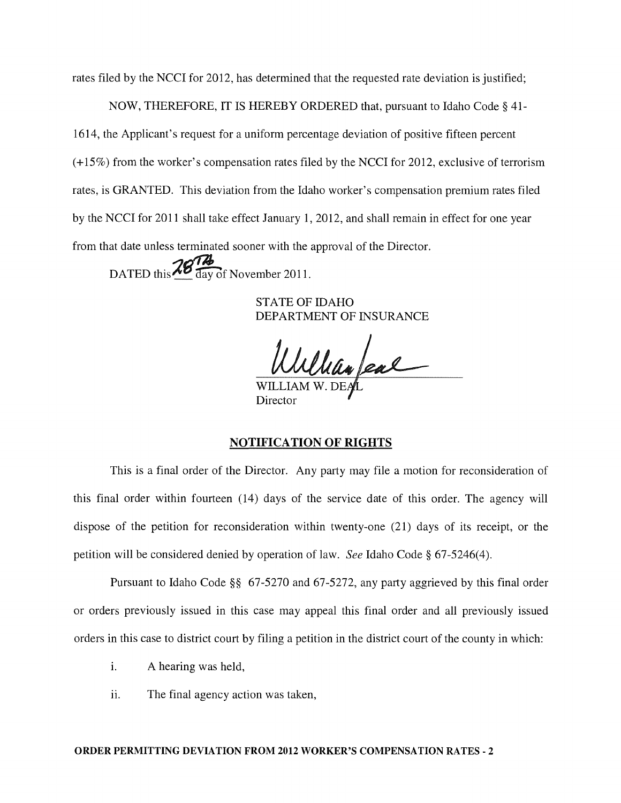rates filed by the NCCI for 2012, has determined that the requested rate deviation is justified;

NOW, THEREFORE, IT IS HEREBY ORDERED that, pursuant to Idaho Code § 41- 1614, the Applicant's request for a uniform percentage deviation of positive fifteen percent (+15%) from the worker's compensation rates filed by the NCCI for 2012, exclusive of terrorism rates, is GRANTED. This deviation from the Idaho worker's compensation premium rates filed by the NCCI for 2011 shall take effect January 1, 2012, and shall remain in effect for one year from that date unless terminated sooner with the approval of the Director.

DATED this  $\frac{26}{\text{day of November 2011}}$ .

STATE OF IDAHO DEPARTMENT OF INSURANCE

William feal

**Director** 

#### NOTIFICATION OF RIGHTS

This is a final order of the Director. Any party may file a motion for reconsideration of this final order within fourteen (14) days of the service date of this order. The agency will dispose of the petition for reconsideration within twenty-one (21) days of its receipt, or the petition will be considered denied by operation of law. *See* Idaho Code § 67-5246(4).

Pursuant to Idaho Code §§ 67-5270 and 67-5272, any party aggrieved by this final order or orders previously issued in this case may appeal this final order and all previously issued orders in this case to district court by filing a petition in the district court of the county in which:

- i. A hearing was held,
- ii. The final agency action was taken,